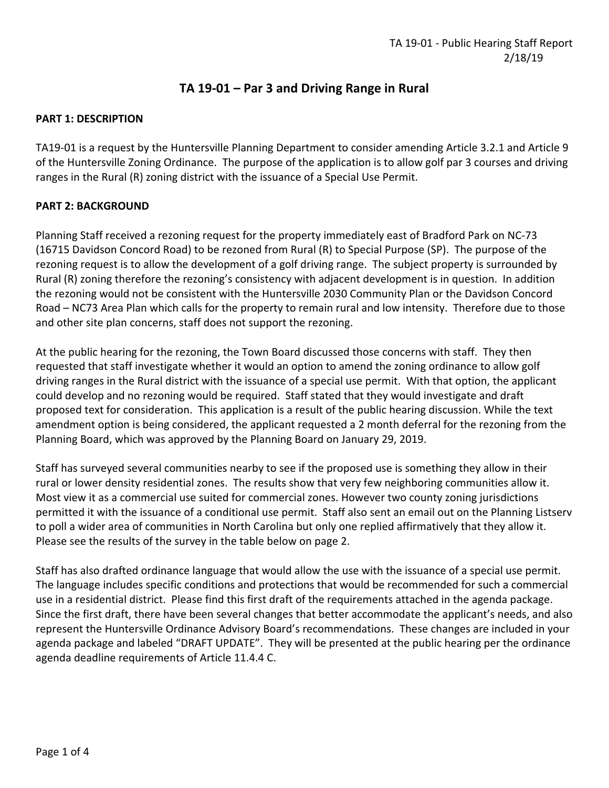# **TA 19-01 – Par 3 and Driving Range in Rural**

### **PART 1: DESCRIPTION**

TA19-01 is a request by the Huntersville Planning Department to consider amending Article 3.2.1 and Article 9 of the Huntersville Zoning Ordinance. The purpose of the application is to allow golf par 3 courses and driving ranges in the Rural (R) zoning district with the issuance of a Special Use Permit.

### **PART 2: BACKGROUND**

Planning Staff received a rezoning request for the property immediately east of Bradford Park on NC-73 (16715 Davidson Concord Road) to be rezoned from Rural (R) to Special Purpose (SP). The purpose of the rezoning request is to allow the development of a golf driving range. The subject property is surrounded by Rural (R) zoning therefore the rezoning's consistency with adjacent development is in question. In addition the rezoning would not be consistent with the Huntersville 2030 Community Plan or the Davidson Concord Road – NC73 Area Plan which calls for the property to remain rural and low intensity. Therefore due to those and other site plan concerns, staff does not support the rezoning.

At the public hearing for the rezoning, the Town Board discussed those concerns with staff. They then requested that staff investigate whether it would an option to amend the zoning ordinance to allow golf driving ranges in the Rural district with the issuance of a special use permit. With that option, the applicant could develop and no rezoning would be required. Staff stated that they would investigate and draft proposed text for consideration. This application is a result of the public hearing discussion. While the text amendment option is being considered, the applicant requested a 2 month deferral for the rezoning from the Planning Board, which was approved by the Planning Board on January 29, 2019.

Staff has surveyed several communities nearby to see if the proposed use is something they allow in their rural or lower density residential zones. The results show that very few neighboring communities allow it. Most view it as a commercial use suited for commercial zones. However two county zoning jurisdictions permitted it with the issuance of a conditional use permit. Staff also sent an email out on the Planning Listserv to poll a wider area of communities in North Carolina but only one replied affirmatively that they allow it. Please see the results of the survey in the table below on page 2.

Staff has also drafted ordinance language that would allow the use with the issuance of a special use permit. The language includes specific conditions and protections that would be recommended for such a commercial use in a residential district. Please find this first draft of the requirements attached in the agenda package. Since the first draft, there have been several changes that better accommodate the applicant's needs, and also represent the Huntersville Ordinance Advisory Board's recommendations. These changes are included in your agenda package and labeled "DRAFT UPDATE". They will be presented at the public hearing per the ordinance agenda deadline requirements of Article 11.4.4 C.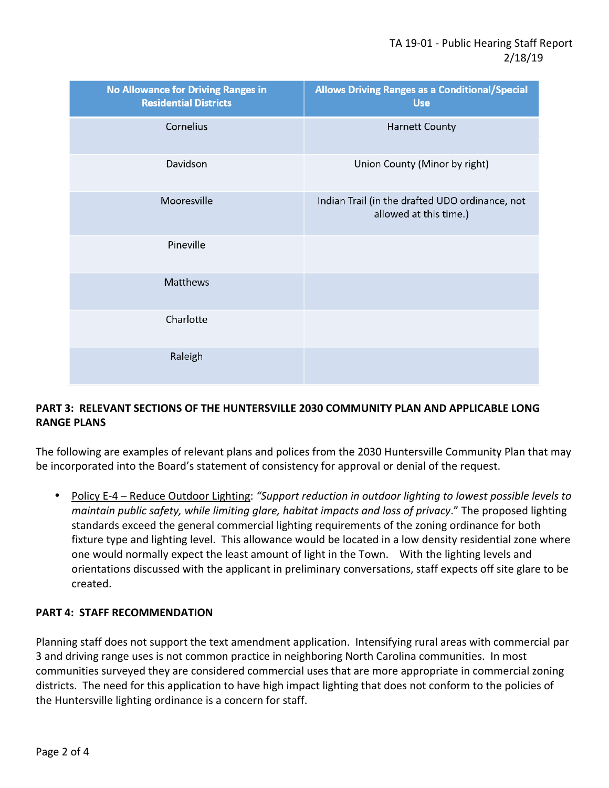| <b>No Allowance for Driving Ranges in</b><br><b>Residential Districts</b> | <b>Allows Driving Ranges as a Conditional/Special</b><br><b>Use</b>       |
|---------------------------------------------------------------------------|---------------------------------------------------------------------------|
| Cornelius                                                                 | <b>Harnett County</b>                                                     |
| Davidson                                                                  | Union County (Minor by right)                                             |
| Mooresville                                                               | Indian Trail (in the drafted UDO ordinance, not<br>allowed at this time.) |
| Pineville                                                                 |                                                                           |
| <b>Matthews</b>                                                           |                                                                           |
| Charlotte                                                                 |                                                                           |
| Raleigh                                                                   |                                                                           |

### **PART 3: RELEVANT SECTIONS OF THE HUNTERSVILLE 2030 COMMUNITY PLAN AND APPLICABLE LONG RANGE PLANS**

The following are examples of relevant plans and polices from the 2030 Huntersville Community Plan that may be incorporated into the Board's statement of consistency for approval or denial of the request.

• Policy E-4 – Reduce Outdoor Lighting: *"Support reduction in outdoor lighting to lowest possible levels to maintain public safety, while limiting glare, habitat impacts and loss of privacy*." The proposed lighting standards exceed the general commercial lighting requirements of the zoning ordinance for both fixture type and lighting level. This allowance would be located in a low density residential zone where one would normally expect the least amount of light in the Town. With the lighting levels and orientations discussed with the applicant in preliminary conversations, staff expects off site glare to be created.

### **PART 4: STAFF RECOMMENDATION**

Planning staff does not support the text amendment application. Intensifying rural areas with commercial par 3 and driving range uses is not common practice in neighboring North Carolina communities. In most communities surveyed they are considered commercial uses that are more appropriate in commercial zoning districts. The need for this application to have high impact lighting that does not conform to the policies of the Huntersville lighting ordinance is a concern for staff.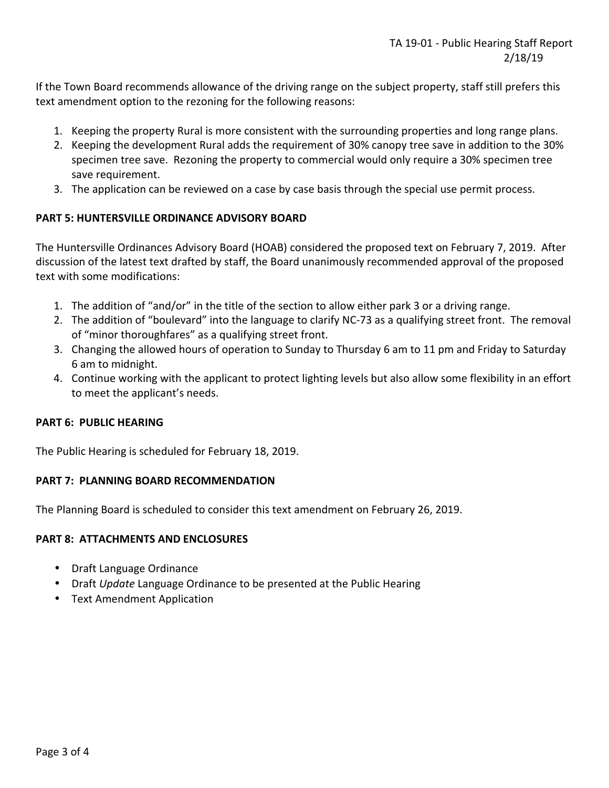If the Town Board recommends allowance of the driving range on the subject property, staff still prefers this text amendment option to the rezoning for the following reasons:

- 1. Keeping the property Rural is more consistent with the surrounding properties and long range plans.
- 2. Keeping the development Rural adds the requirement of 30% canopy tree save in addition to the 30% specimen tree save. Rezoning the property to commercial would only require a 30% specimen tree save requirement.
- 3. The application can be reviewed on a case by case basis through the special use permit process.

### **PART 5: HUNTERSVILLE ORDINANCE ADVISORY BOARD**

The Huntersville Ordinances Advisory Board (HOAB) considered the proposed text on February 7, 2019. After discussion of the latest text drafted by staff, the Board unanimously recommended approval of the proposed text with some modifications:

- 1. The addition of "and/or" in the title of the section to allow either park 3 or a driving range.
- 2. The addition of "boulevard" into the language to clarify NC-73 as a qualifying street front. The removal of "minor thoroughfares" as a qualifying street front.
- 3. Changing the allowed hours of operation to Sunday to Thursday 6 am to 11 pm and Friday to Saturday 6 am to midnight.
- 4. Continue working with the applicant to protect lighting levels but also allow some flexibility in an effort to meet the applicant's needs.

### **PART 6: PUBLIC HEARING**

The Public Hearing is scheduled for February 18, 2019.

#### **PART 7: PLANNING BOARD RECOMMENDATION**

The Planning Board is scheduled to consider this text amendment on February 26, 2019.

### **PART 8: ATTACHMENTS AND ENCLOSURES**

- Draft Language Ordinance
- Draft *Update* Language Ordinance to be presented at the Public Hearing
- Text Amendment Application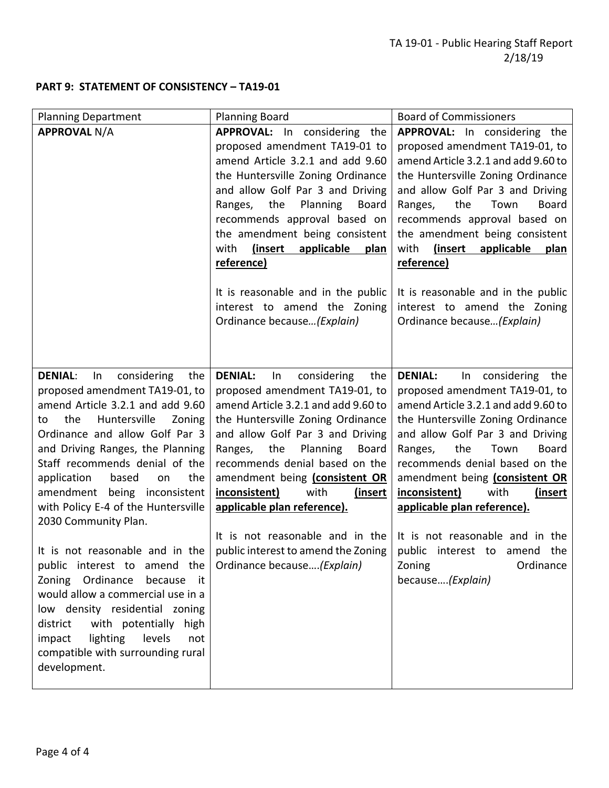# **PART 9: STATEMENT OF CONSISTENCY – TA19-01**

| <b>Planning Department</b>                                                                                                                                                                                                                                                                                                                                                                                                                                                                                                                                                                                                                                                                                       | <b>Planning Board</b>                                                                                                                                                                                                                                                                                                                                                                                                                                                                               | <b>Board of Commissioners</b>                                                                                                                                                                                                                                                                                                                                                                                                                                                         |
|------------------------------------------------------------------------------------------------------------------------------------------------------------------------------------------------------------------------------------------------------------------------------------------------------------------------------------------------------------------------------------------------------------------------------------------------------------------------------------------------------------------------------------------------------------------------------------------------------------------------------------------------------------------------------------------------------------------|-----------------------------------------------------------------------------------------------------------------------------------------------------------------------------------------------------------------------------------------------------------------------------------------------------------------------------------------------------------------------------------------------------------------------------------------------------------------------------------------------------|---------------------------------------------------------------------------------------------------------------------------------------------------------------------------------------------------------------------------------------------------------------------------------------------------------------------------------------------------------------------------------------------------------------------------------------------------------------------------------------|
| <b>APPROVAL N/A</b>                                                                                                                                                                                                                                                                                                                                                                                                                                                                                                                                                                                                                                                                                              | <b>APPROVAL:</b> In considering the<br>proposed amendment TA19-01 to<br>amend Article 3.2.1 and add 9.60<br>the Huntersville Zoning Ordinance<br>and allow Golf Par 3 and Driving<br>Planning<br>Ranges,<br>the<br><b>Board</b><br>recommends approval based on<br>the amendment being consistent<br>(insert)<br>applicable<br>with<br>plan<br>reference)<br>It is reasonable and in the public                                                                                                     | APPROVAL: In considering the<br>proposed amendment TA19-01, to<br>amend Article 3.2.1 and add 9.60 to<br>the Huntersville Zoning Ordinance<br>and allow Golf Par 3 and Driving<br>the<br><b>Board</b><br>Town<br>Ranges,<br>recommends approval based on<br>the amendment being consistent<br>(insert<br>with<br>applicable<br>plan<br>reference)<br>It is reasonable and in the public                                                                                               |
|                                                                                                                                                                                                                                                                                                                                                                                                                                                                                                                                                                                                                                                                                                                  | interest to amend the Zoning<br>Ordinance because (Explain)                                                                                                                                                                                                                                                                                                                                                                                                                                         | interest to amend the Zoning<br>Ordinance because (Explain)                                                                                                                                                                                                                                                                                                                                                                                                                           |
| <b>DENIAL:</b><br>considering<br>In<br>the<br>proposed amendment TA19-01, to<br>amend Article 3.2.1 and add 9.60<br>the<br>Huntersville<br>Zoning<br>to<br>Ordinance and allow Golf Par 3<br>and Driving Ranges, the Planning<br>Staff recommends denial of the<br>application<br>based<br>the<br>on<br>amendment being inconsistent<br>with Policy E-4 of the Huntersville<br>2030 Community Plan.<br>It is not reasonable and in the<br>public interest to amend the<br>Zoning Ordinance<br>because it<br>would allow a commercial use in a<br>low density residential zoning<br>with potentially high<br>district<br>lighting<br>levels<br>impact<br>not<br>compatible with surrounding rural<br>development. | <b>DENIAL:</b><br>considering<br>In<br>the<br>proposed amendment TA19-01, to<br>amend Article 3.2.1 and add 9.60 to<br>the Huntersville Zoning Ordinance<br>and allow Golf Par 3 and Driving<br>the<br>Planning<br><b>Board</b><br>Ranges,<br>recommends denial based on the<br>amendment being (consistent OR<br>inconsistent)<br>with<br>(insert<br>applicable plan reference).<br>$\vert$ public interest to amend the Zoning $\vert$ public interest to amend the<br>Ordinance because(Explain) | <b>DENIAL:</b><br>In considering the<br>proposed amendment TA19-01, to<br>amend Article 3.2.1 and add 9.60 to<br>the Huntersville Zoning Ordinance<br>and allow Golf Par 3 and Driving<br>the<br>Town<br><b>Board</b><br>Ranges,<br>recommends denial based on the<br>amendment being (consistent OR<br>inconsistent)<br>with<br>(insert<br>applicable plan reference).<br>It is not reasonable and in the It is not reasonable and in the<br>Ordinance<br>Zoning<br>because(Explain) |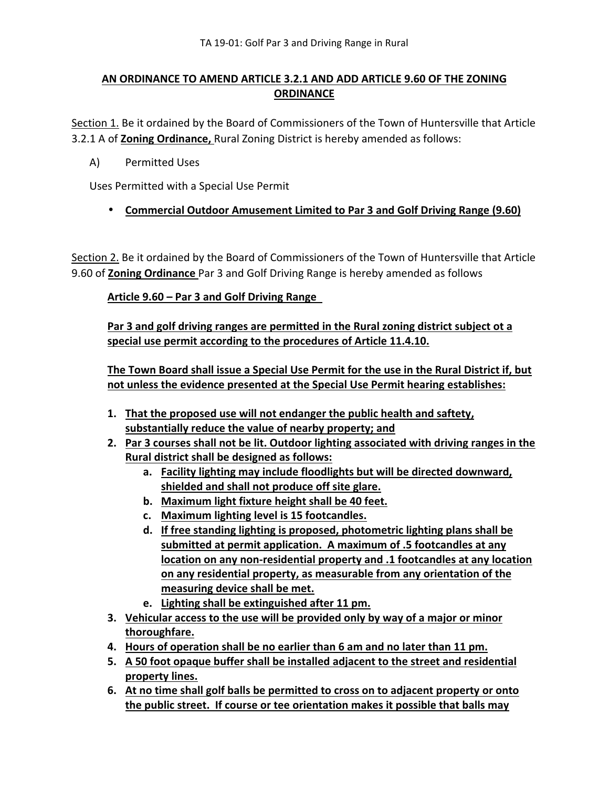# **AN ORDINANCE TO AMEND ARTICLE 3.2.1 AND ADD ARTICLE 9.60 OF THE ZONING ORDINANCE**

Section 1. Be it ordained by the Board of Commissioners of the Town of Huntersville that Article 3.2.1 A of **Zoning Ordinance,** Rural Zoning District is hereby amended as follows:

A) Permitted Uses

Uses Permitted with a Special Use Permit

• **Commercial Outdoor Amusement Limited to Par 3 and Golf Driving Range (9.60)** 

Section 2. Be it ordained by the Board of Commissioners of the Town of Huntersville that Article 9.60 of **Zoning Ordinance** Par 3 and Golf Driving Range is hereby amended as follows

### **Article 9.60 – Par 3 and Golf Driving Range**

**Par 3 and golf driving ranges are permitted in the Rural zoning district subject ot a special use permit according to the procedures of Article 11.4.10.** 

**The Town Board shall issue a Special Use Permit for the use in the Rural District if, but not unless the evidence presented at the Special Use Permit hearing establishes:** 

- **1. That the proposed use will not endanger the public health and saftety, substantially reduce the value of nearby property; and**
- **2. Par 3 courses shall not be lit. Outdoor lighting associated with driving ranges in the Rural district shall be designed as follows:** 
	- **a. Facility lighting may include floodlights but will be directed downward, shielded and shall not produce off site glare.**
	- **b. Maximum light fixture height shall be 40 feet.**
	- **c. Maximum lighting level is 15 footcandles.**
	- **d. If free standing lighting is proposed, photometric lighting plans shall be submitted at permit application. A maximum of .5 footcandles at any location on any non-residential property and .1 footcandles at any location on any residential property, as measurable from any orientation of the measuring device shall be met.**
	- **e. Lighting shall be extinguished after 11 pm.**
- **3. Vehicular access to the use will be provided only by way of a major or minor thoroughfare.**
- **4. Hours of operation shall be no earlier than 6 am and no later than 11 pm.**
- **5. A 50 foot opaque buffer shall be installed adjacent to the street and residential property lines.**
- **6. At no time shall golf balls be permitted to cross on to adjacent property or onto the public street. If course or tee orientation makes it possible that balls may**